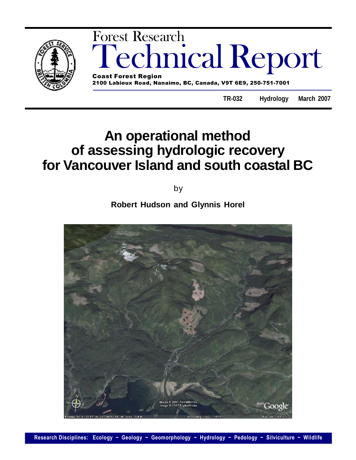

# **An operational method of assessing hydrologic recovery for Vancouver Island and south coastal BC**

by

**Robert Hudson and Glynnis Horel**

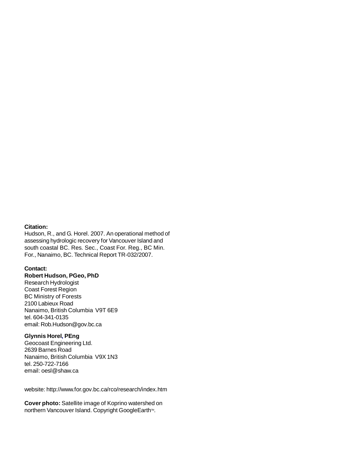# **Citation:**

Hudson, R., and G. Horel. 2007. An operational method of assessing hydrologic recovery for Vancouver Island and south coastal BC. Res. Sec., Coast For. Reg., BC Min. For., Nanaimo, BC. Technical Report TR-032/2007.

## **Contact:**

**Robert Hudson, PGeo, PhD**

Research Hydrologist Coast Forest Region BC Ministry of Forests 2100 Labieux Road Nanaimo, British Columbia V9T 6E9 tel. 604-341-0135 email: Rob.Hudson@gov.bc.ca

# **Glynnis Horel, PEng**

Geocoast Engineering Ltd. 2639 Barnes Road Nanaimo, British Columbia V9X 1N3 tel. 250-722-7166 email: oesl@shaw.ca

website: http://www.for.gov.bc.ca/rco/research/index.htm

**Cover photo:** Satellite image of Koprino watershed on northern Vancouver Island. Copyright GoogleEarth™.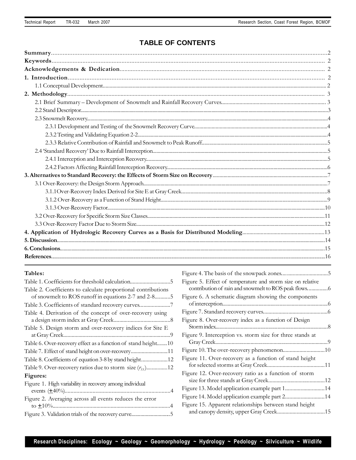# **TABLE OF CONTENTS**

# **Tables:**

| Table 2. Coefficients to calculate proportional contributions<br>of snowmelt to ROS runoff in equations 2-7 and 2-85 |
|----------------------------------------------------------------------------------------------------------------------|
| Table 3. Coefficients of standard recovery curves7                                                                   |
| Table 4. Derivation of the concept of over-recovery using                                                            |
| Table 5. Design storm and over-recovery indices for Site E                                                           |
| Table 6. Over-recovery effect as a function of stand height10                                                        |
| Table 7. Effect of stand height on over-recovery11                                                                   |
| Table 8. Coefficients of equation 3-8 by stand height12                                                              |
|                                                                                                                      |
| Figures:                                                                                                             |
| Figure 1. High variability in recovery among individual                                                              |
| Figure 2. Averaging across all events reduces the error                                                              |
| Figure 3. Validation trials of the recovery curve5                                                                   |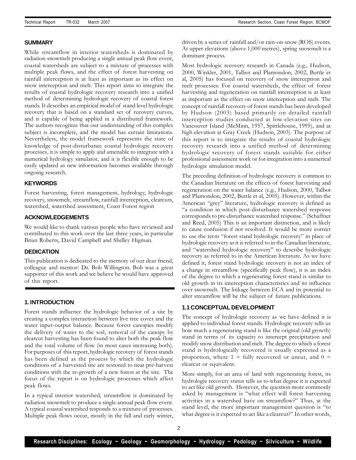#### **SUMMARY**

While streamflow in interior watersheds is dominated by radiation snowmelt producing a single annual peak flow event, coastal watersheds are subject to a mixture of processes with multiple peak flows, and the effect of forest harvesting on rainfall interception is at least as important as its effect on snow interception and melt. This report aims to integrate the results of coastal hydrologic recovery research into a unified method of determining hydrologic recovery of coastal forest stands. It describes an empirical model of stand level hydrologic recovery that is based on a standard set of recovery curves, and is capable of being applied in a distributed framework. The authors recognize that our understanding of this complex subject is incomplete, and the model has certain limitations. Nevertheless, the model framework represents the state of knowledge of post-disturbance coastal hydrologic recovery processes, it is simple to apply and amenable to integrate with a numerical hydrology simulator, and it is flexible enough to be easily updated as new information becomes available through ongoing research.

#### **KEYWORDS**

Forest harvesting, forest management, hydrology, hydrologic recovery, snowmelt, streamflow, rainfall interception, clearcuts, watershed, watershed assessment, Coast Forest region

#### **ACKNOWLEDGEMENTS**

We would like to thank various people who have reviewed and contributed to this work over the last three years, in particular Brian Roberts, David Campbell and Shelley Higman.

#### **DEDICATION**

This publication is dedicated to the memory of our dear friend, colleague and mentor: Dr. Bob Willington. Bob was a great supporter of this work and we believe he would have approved of this report.

#### **1. INTRODUCTION**

Forest stands influence the hydrologic behavior of a site by creating a complex interaction between live tree cover and the water input-output balance. Because forest canopies modify the delivery of water to the soil, removal of the canopy by clearcut harvesting has been found to alter both the peak flow and the total volume of flow (in most cases increasing both). For purposes of this report, hydrologic recovery of forest stands has been defined as the process by which the hydrologic conditions of a harvested site are restored to near pre-harvest conditions with the re-growth of a new forest at the site. The focus of the report is on hydrologic processes which affect peak flows.

In a typical interior watershed, streamflow is dominated by radiation snowmelt to produce a single annual peak flow event. A typical coastal watershed responds to a mixture of processes. Multiple peak flows occur, mostly in the fall and early winter,

driven by a series of rainfall and/or rain-on-snow (ROS) events. At upper elevations (above 1,000 metres), spring snowmelt is a dominant process.

Most hydrologic recovery research in Canada (e.g., Hudson, 2000, Winkler, 2001, Talbot and Plamondon, 2002, Buttle et al, 2005) has focused on recovery of snow interception and melt processes. For coastal watersheds, the effect of forest harvesting and regeneration on rainfall interception is at least as important as the effect on snow interception and melt. The concept of rainfall recovery of forest stands has been developed by Hudson (2003) based primarily on detailed rainfall interception studies conducted at low-elevation sites on Vancouver Island (McMinn, 1957, Spittlehouse, 1995), and at high elevation at Gray Creek (Hudson, 2003). The purpose of this report is to integrate the results of coastal hydrologic recovery research into a unified method of determining hydrologic recovery of forest stands suitable for either professional assessment work or for integration into a numerical hydrologic simulation model.

The preceding definition of hydrologic recovery is common to the Canadian literature on the effects of forest harvesting and regeneration on the water balance (e.g., Hudson, 2000, Talbot and Plamondon, 2002, Buttle et al, 2005). However, within the American "grey" literature, hydrologic recovery is defined as "a condition in which post-disturbance watershed response corresponds to pre-disturbance watershed response." (Schaffner and Reed, 2005) This is an important distinction, and is likely to cause confusion if not resolved. It would be more correct to use the term "forest stand hydrologic recovery" in place of hydrologic recovery as it is referred to in the Canadian literature, and "watershed hydrologic recovery" to describe hydrologic recovery as referred to in the American literature. As we have defined it, forest stand hydrologic recovery is not an index of a change in streamflow (specifically peak flow), it is an index of the degree to which a regenerating forest stand is similar to old growth in its interception characteristics and its influence over snowmelt. The linkage between ECA and its potential to alter streamflow will be the subject of future publications.

#### **1.1 CONCEPTUAL DEVELOPMENT**

The concept of hydrologic recovery as we have defined it is applied to individual forest stands. Hydrologic recovery tells us how much a regenerating stand is like the original (old growth) stand in terms of its capacity to intercept precipitation and modify snow distribution and melt. The degree to which a forest stand is hydrologically recovered is usually expressed as a proportion, where  $1 =$  fully recovered or uncut, and  $0 =$ clearcut or equivalent.

More simply, for an area of land with regenerating forest, its hydrologic recovery status tells us to what degree it is expected to act like old growth. However, the question more commonly asked by management is "what effect will forest harvesting activities in a watershed have on streamflow?" Thus, at the stand level, the more important management question is "to what degree is it expected to act like a clearcut?" In other words,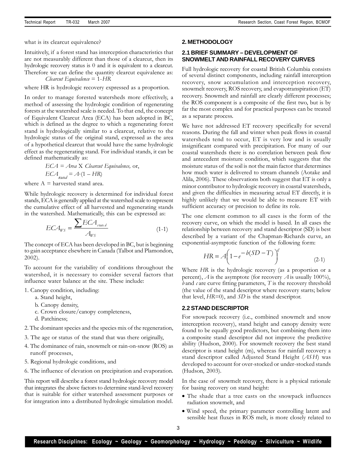what is its clearcut equivalence?

Intuitively, if a forest stand has interception characteristics that are not measurably different than those of a clearcut, then its hydrologic recovery status is 0 and it is equivalent to a clearcut. Therefore we can define the quantity clearcut equivalence as: *Clearcut Equivalence* = 1-*HR*

where HR is hydrologic recovery expressed as a proportion.

In order to manage forested watersheds more effectively, a method of assessing the hydrologic condition of regenerating forests at the watershed scale is needed. To that end, the concept of Equivalent Clearcut Area (ECA) has been adopted in BC, which is defined as the degree to which a regenerating forest stand is hydrologically similar to a clearcut, relative to the hydrologic status of the original stand, expressed as the area of a hypothetical clearcut that would have the same hydrologic effect as the regenerating stand. For individual stands, it can be defined mathematically as:

$$
ECA = Area X Clearut Equivalence, or,ECAstand = A (1 - HR)
$$

where  $A =$  harvested stand area.

While hydrologic recovery is determined for individual forest stands, ECA is generally applied at the watershed scale to represent the cumulative effect of all harvested and regenerating stands in the watershed. Mathematically, this can be expressed as:

$$
ECA_{WS} = \frac{\sum ECA_{\text{stan }d}}{A_{WS}}
$$
 (1-1)

The concept of ECA has been developed in BC, but is beginning to gain acceptance elsewhere in Canada (Talbot and Plamondon, 2002).

To account for the variability of conditions throughout the watershed, it is necessary to consider several factors that influence water balance at the site. These include:

- 1. Canopy condition, including:
	- a. Stand height,
	- b. Canopy density,
	- c. Crown closure/canopy completeness,
	- d. Patchiness;
- 2. The dominant species and the species mix of the regeneration,
- 3. The age or status of the stand that was there originally,
- 4. The dominance of rain, snowmelt or rain-on-snow (ROS) as runoff processes,
- 5. Regional hydrologic conditions, and
- 6. The influence of elevation on precipitation and evaporation.

This report will describe a forest stand hydrologic recovery model that integrates the above factors to determine stand-level recovery that is suitable for either watershed assessment purposes or for integration into a distributed hydrologic simulation model.

#### **2. METHODOLOGY**

# **2.1 BRIEF SUMMARY – DEVELOPMENT OF SNOWMELT AND RAINFALL RECOVERYCURVES**

Full hydrologic recovery for coastal British Columbia consists of several distinct components, including rainfall interception recovery, snow accumulation and interception recovery, snowmelt recovery, ROS recovery, and evapotranspiration (ET) recovery. Snowmelt and rainfall are clearly different processes; the ROS component is a composite of the first two, but is by far the most complex and for practical purposes can be treated as a separate process.

We have not addressed ET recovery specifically for several reasons. During the fall and winter when peak flows in coastal watersheds tend to occur, ET is very low and is usually insignificant compared with precipitation. For many of our coastal watersheds there is no correlation between peak flow and antecedent moisture condition, which suggests that the moisture status of the soil is not the main factor that determines how much water is delivered to stream channels (Aotake and Alila, 2006). These observations both suggest that ET is only a minor contributor to hydrologic recovery in coastal watersheds, and given the difficulties in measuring actual ET directly, it is highly unlikely that we would be able to measure ET with sufficient accuracy or precision to define its role.

The one element common to all cases is the form of the recovery curve, on which the model is based. In all cases the relationship between recovery and stand descriptor (SD) is best described by a variant of the Chapman-Richards curve, an exponential-asymptotic function of the following form:

$$
HR = A \left( 1 - e^{-b(SD - T)} \right)^c \tag{2-1}
$$

Where *HR* is the hydrologic recovery (as a proportion or a percent),  $\vec{A}$  is the asymptote (for recovery  $\vec{A}$  is usually 100%), *b* and *c* are curve fitting parameters, *T* is the recovery threshold (the value of the stand descriptor where recovery starts; below that level, *HR*=0), and *SD* is the stand descriptor.

#### **2.2 STAND DESCRIPTOR**

For snowpack recovery (i.e., combined snowmelt and snow interception recovery), stand height and canopy density were found to be equally good predictors, but combining them into a composite stand descriptor did not improve the predictive ability (Hudson, 2000). For snowmelt recovery the best stand descriptor is stand height (m), whereas for rainfall recovery a stand descriptor called Adjusted Stand Height (*ASH*) was developed to account for over-stocked or under-stocked stands (Hudson, 2003).

In the case of snowmelt recovery, there is a physical rationale for basing recovery on stand height:

- The shade that a tree casts on the snowpack influences radiation snowmelt, and
- Wind speed, the primary parameter controlling latent and sensible heat fluxes in ROS melt, is more closely related to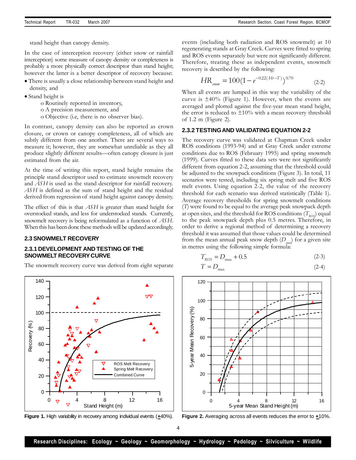stand height than canopy density.

In the case of interception recovery (either snow or rainfall interception) some measure of canopy density or completeness is probably a more physically correct descriptor than stand height; however the latter is a better descriptor of recovery because:

- There is usually a close relationship between stand height and density, and
- Stand height is
	- o Routinely reported in inventory,
	- o A precision measurement, and
	- o Objective (i.e, there is no observer bias).

In contrast, canopy density can also be reported as crown closure, or crown or canopy completeness, all of which are subtly different from one another. There are several ways to measure it; however, they are somewhat unreliable as they all produce slightly different results—often canopy closure is just estimated from the air.

At the time of writing this report, stand height remains the principle stand descriptor used to estimate snowmelt recovery and *ASH* is used as the stand descriptor for rainfall recovery. *ASH* is defined as the sum of stand height and the residual derived from regression of stand height against canopy density.

The effect of this is that *ASH* is greater than stand height for overstocked stands, and less for understocked stands. Currently, snowmelt recovery is being reformulated as a function of *ASH*. When this has been done these methods will be updated accordingly.

#### **2.3 SNOWMELT RECOVERY**

0

20

40

60

80

Recovery (%

100

120

140

# **2.3.1 DEVELOPMENT AND TESTING OF THE SNOWMELT RECOVERYCURVE**

The snowmelt recovery curve was derived from eight separate

![](_page_5_Figure_15.jpeg)

$$
HR_{\text{3.00W}} = 100(1 - e^{-0.22(Ht - T)})^{0.70}
$$
 (2-2)

When all events are lumped in this way the variability of the curve is  $\pm 40\%$  (Figure 1). However, when the events are averaged and plotted against the five-year mean stand height, the error is reduced to  $\pm 10\%$  with a mean recovery threshold of 1.2 m (Figure 2).

#### **2.3.2 TESTINGAND VALIDATING EQUATION 2-2**

The recovery curve was validated at Chapman Creek under ROS conditions (1993-94) and at Gray Creek under extreme conditions due to ROS (February 1995) and spring snowmelt (1999). Curves fitted to these data sets were not significantly different from equation 2-2, assuming that the threshold could be adjusted to the snowpack conditions (Figure 3). In total, 11 scenarios were tested, including six spring melt and five ROS melt events. Using equation 2-2, the value of the recovery threshold for each scenario was derived statistically (Table 1). Average recovery thresholds for spring snowmelt conditions (*T*) were found to be equal to the average peak snowpack depth at open sites, and the threshold for ROS conditions  $(T_{ROS})$  equal to the peak snowpack depth plus 0.5 metres. Therefore, in order to derive a regional method of determining a recovery threshold it was assumed that those values could be determined from the mean annual peak snow depth (*D<sub>max</sub>*) for a given site in metres using the following simple formula:

$$
T_{ROS} = D_{\text{max}} + 0.5
$$
 (2-3)

$$
T = D_{\text{max}} \tag{2-4}
$$

![](_page_5_Figure_22.jpeg)

**Figure 1.** High variability in recovery among individual events (**+**40%).

 $0 \frac{}{6}$  4 8 12 16 Stand Height (m)

ROS Melt Recovery Spring Melt Recovery Combined Curve

**Figure 2.** Averaging across all events reduces the error to **+**10%.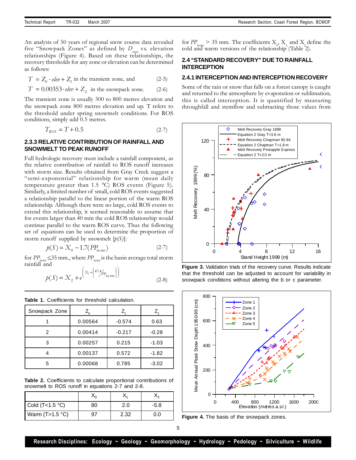An analysis of 50 years of regional snow course data revealed five "Snowpack Zones" as defined by  $D_{\text{max}}$  vs. elevation relationships (Figure 4). Based on these relationships, the recovery thresholds for any zone or elevation can be determined as follows:

 $T = Z_0 \cdot elev + Z_1$  in the transient zone, and (2-5)

$$
T = 0.00353 \cdot elev + Z_2
$$
 in the snowpack zone. (2-6)

The transient zone is usually 300 to 800 metres elevation and the snowpack zone 800 metres elevation and up. T refers to the threshold under spring snowmelt conditions. For ROS conditions, simply add 0.5 metres.

$$
T_{\text{ROS}} = T + 0.5\tag{2-7}
$$

## **2.3.3 RELATIVE CONTRIBUTION OF RAINFALL AND SNOWMELT TO PEAK RUNOFF**

Full hydrologic recovery must include a rainfall component, as the relative contribution of rainfall to ROS runoff increases with storm size. Results obtained from Gray Creek suggest a "semi-exponential" relationship for warm (mean daily temperature greater than 1.5 °C) ROS events (Figure 5). Similarly, a limited number of small, cold ROS events suggested a relationship parallel to the linear portion of the warm ROS relationship. Although there were no large, cold ROS events to extend this relationship, it seemed reasonable to assume that for events larger than 40 mm the cold ROS relationship would continue parallel to the warm ROS curve. Thus the following set of equations can be used to determine the proportion of storm runoff supplied by snowmelt [*p(S)*]*:*

$$
p(S) = X_0 - 1.7(PP_{\text{basin}})
$$
 (2-7)

for  $PP_{\text{basin}} \leq 35$  mm., where  $PP_{\text{basin}}$  is the basin average total storm rainfall and

$$
p(S) = X_2 + e^{\left(X_1 + \left\{47.4/p_{p_{\text{data}}}\right\}\right)} \tag{2-8}
$$

**Table 1.** Coefficients for threshold calculation.

| Snowpack Zone |         |          |         |
|---------------|---------|----------|---------|
|               | 0.00564 | $-0.574$ | 0.63    |
| 2             | 0.00414 | $-0.217$ | $-0.28$ |
| 3             | 0.00257 | 0.215    | $-1.03$ |
|               | 0.00137 | 0.572    | $-1.82$ |
|               | 0.00068 | 0.785    | $-3.02$ |

**Table 2.** Coefficients to calculate proportional contributions of snowmelt to ROS runoff in equations 2-7 and 2-8.

| Cold $(T<1.5 °C)$ | 80 | 2.0  | -5.8 |
|-------------------|----|------|------|
| Warm $(T>1.5 °C)$ |    | 2.32 | J.O  |

for  $PP_{\text{basin}} > 35$  mm. The coefficients  $X_0$ ,  $X_1$  and  $X_2$  define the cold and warm versions of the relationship (Table 2).

# **2.4 "STANDARD RECOVERY" DUE TO RAINFALL INTERCEPTION**

#### **2.4.1 INTERCEPTION AND INTERCEPTION RECOVERY**

Some of the rain or snow that falls on a forest canopy is caught and returned to the atmosphere by evaporation or sublimation; this is called interception. It is quantified by measuring throughfall and stemflow and subtracting those values from

![](_page_6_Figure_20.jpeg)

**Figure 3.** Validation trials of the recovery curve. Results indicate that the threshold can be adjusted to account for variability in snowpack conditions without altering the b or c parameter.

![](_page_6_Figure_22.jpeg)

**Figure 4.** The basis of the snowpack zones.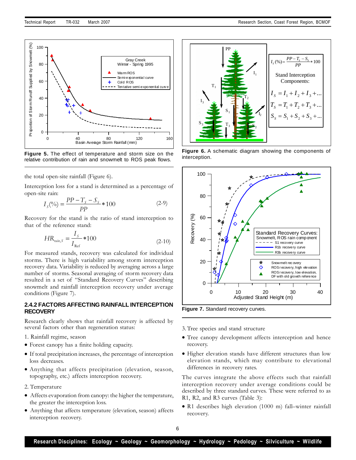![](_page_7_Figure_1.jpeg)

**Figure 5.** The effect of temperature and storm size on the relative contribution of rain and snowmelt to ROS peak flows.

the total open-site rainfall (Figure 6).

Interception loss for a stand is determined as a percentage of open-site rain:

$$
I_{S}(\%) = \frac{PP - T_{S} - S_{S}}{PP} * 100
$$
 (2-9)

Recovery for the stand is the ratio of stand interception to that of the reference stand:

$$
HR_{\text{min},S} = \frac{I_S}{I_{\text{Ref}}} * 100 \tag{2-10}
$$

For measured stands, recovery was calculated for individual storms. There is high variability among storm interception recovery data. Variability is reduced by averaging across a large number of storms. Seasonal averaging of storm recovery data resulted in a set of "Standard Recovery Curves" describing snowmelt and rainfall interception recovery under average conditions (Figure 7).

## **2.4.2 FACTORS AFFECTING RAINFALL INTERCEPTION RECOVERY**

Research clearly shows that rainfall recovery is affected by several factors other than regeneration status:

- 1. Rainfall regime, season
- Forest canopy has a finite holding capacity.
- If total precipitation increases, the percentage of interception loss decreases.
- Anything that affects precipitation (elevation, season, topography, etc.) affects interception recovery.
- 2. Temperature
- Affects evaporation from canopy: the higher the temperature, the greater the interception loss.
- Anything that affects temperature (elevation, season) affects interception recovery.

![](_page_7_Figure_19.jpeg)

**Figure 6.** A schematic diagram showing the components of interception.

![](_page_7_Figure_21.jpeg)

**Figure 7.** Standard recovery curves.

3. Tree species and stand structure

- Tree canopy development affects interception and hence recovery.
- Higher elevation stands have different structures than low elevation stands, which may contribute to elevational differences in recovery rates.

The curves integrate the above effects such that rainfall interception recovery under average conditions could be described by three standard curves. These were referred to as R1, R2, and R3 curves (Table 3):

R1 describes high elevation (1000 m) fall–winter rainfall recovery.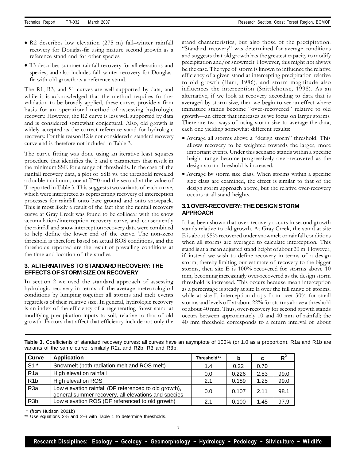- R2 describes low elevation (275 m) fall–winter rainfall recovery for Douglas-fir using mature second growth as a reference stand and for other species.
- R3 describes summer rainfall recovery for all elevations and species, and also includes fall–winter recovery for Douglasfir with old growth as a reference stand.

The R1, R3, and S1 curves are well supported by data, and while it is acknowledged that the method requires further validation to be broadly applied, these curves provide a firm basis for an operational method of assessing hydrologic recovery. However, the R2 curve is less well supported by data and is considered somewhat conjectural. Also, old growth is widely accepted as the correct reference stand for hydrologic recovery. For this reason R2 is not considered a standard recovery curve and is therefore not included in Table 3.

The curve fitting was done using an iterative least squares procedure that identifies the b and c parameters that result in the minimum SSE for a range of thresholds. In the case of the rainfall recovery data, a plot of SSE vs. the threshold revealed a double minimum, one at  $T=0$  and the second at the value of T reported in Table 3. This suggests two variants of each curve, which were interpreted as representing recovery of interception processes for rainfall onto bare ground and onto snowpack. This is most likely a result of the fact that the rainfall recovery curve at Gray Creek was found to be collinear with the snow accumulation/interception recovery curve, and consequently the rainfall and snow interception recovery data were combined to help define the lower end of the curve. The non-zero threshold is therefore based on actual ROS conditions, and the thresholds reported are the result of prevailing conditions at the time and location of the studies.

# **3. ALTERNATIVES TO STANDARD RECOVERY: THE EFFECTS OF STORM SIZE ON RECOVERY**

In section 2 we used the standard approach of assessing hydrologic recovery in terms of the average meteorological conditions by lumping together all storms and melt events regardless of their relative size. In general, hydrologic recovery is an index of the efficiency of a regenerating forest stand at modifying precipitation inputs to soil, relative to that of old growth. Factors that affect that efficiency include not only the

stand characteristics, but also those of the precipitation. "Standard recovery" was determined for average conditions and suggests that old growth has the greatest capacity to modify precipitation and/or snowmelt. However, this might not always be the case. The type of storm is known to influence the relative efficiency of a given stand at intercepting precipitation relative to old growth (Harr, 1986), and storm magnitude also influences the interception (Spittlehouse, 1998). As an alternative, if we look at recovery according to data that is averaged by storm size, then we begin to see an effect where immature stands become "over-recovered" relative to old growth—an effect that increases as we focus on larger storms. There are two ways of using storm size to average the data, each one yielding somewhat different results:

- Average all storms above a "design storm" threshold. This allows recovery to be weighted towards the larger, more important events. Under this scenario stands within a specific height range become progressively over-recovered as the design storm threshold is increased.
- Average by storm size class. When storms within a specific size class are examined, the effect is similar to that of the design storm approach above, but the relative over-recovery occurs at all stand heights.

# **3.1 OVER-RECOVERY: THE DESIGN STORM APPROACH**

It has been shown that over-recovery occurs in second growth stands relative to old growth. At Gray Creek, the stand at site E is about 95% recovered under snowmelt or rainfall conditions when all storms are averaged to calculate interception. This stand is at a mean adjusted stand height of about 20 m. However, if instead we wish to define recovery in terms of a design storm, thereby limiting our estimate of recovery to the bigger storms, then site E is 100% recovered for storms above 10 mm, becoming increasingly over-recovered as the design storm threshold is increased. This occurs because mean interception as a percentage is steady at site E over the full range of storms, while at site F, interception drops from over 30% for small storms and levels off at about 22% for storms above a threshold of about 40 mm. Thus, over-recovery for second growth stands occurs between approximately 10 and 40 mm of rainfall; the 40 mm threshold corresponds to a return interval of about

| <b>Curve</b>     | <b>Application</b>                                                                                           | Threshold** | b     | C    | $R^2$ |
|------------------|--------------------------------------------------------------------------------------------------------------|-------------|-------|------|-------|
| $S1^*$           | Snowmelt (both radiation melt and ROS melt)                                                                  | 1.4         | 0.22  | 0.70 |       |
| R1a              | High elevation rainfall                                                                                      | 0.0         | 0.226 | 2.83 | 99.0  |
| R <sub>1</sub> b | <b>High elevation ROS</b>                                                                                    | 2.1         | 0.189 | 1.25 | 99.0  |
| R <sub>3a</sub>  | Low elevation rainfall (DF referenced to old growth),<br>general summer recovery, all elevations and species | 0.0         | 0.107 | 2.11 | 98.1  |
| R <sub>3</sub> b | Low elevation ROS (DF referenced to old growth)                                                              | 2.1         | 0.100 | 1.45 | 97.9  |

**Table 3.** Coefficients of standard recovery curves: all curves have an asymptote of 100% (or 1.0 as a proportion). R1a and R1b are variants of the same curve, similarly R2a and R2b, R3 and R3b.

(from Hudson 2001b)

Use equations 2-5 and 2-6 with Table 1 to determine thresholds.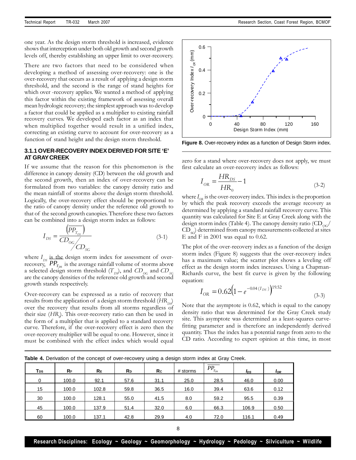one year. As the design storm threshold is increased, evidence shows that interception under both old growth and second growth levels off, thereby establishing an upper limit to over-recovery.

There are two factors that need to be considered when developing a method of assessing over-recovery: one is the over-recovery that occurs as a result of applying a design storm threshold, and the second is the range of stand heights for which over -recovery applies. We wanted a method of applying this factor within the existing framework of assessing overall mean hydrologic recovery; the simplest approach was to develop a factor that could be applied as a multiplier to existing rainfall recovery curves. We developed each factor as an index that when multiplied together would result in a unified index, correcting an existing curve to account for over-recovery as a function of stand height and the design storm threshold.

# **3.1.1 OVER-RECOVERY INDEX DERIVED FOR SITE 'E' AT GRAYCREEK**

If we assume that the reason for this phenomenon is the difference in canopy density (CD) between the old growth and the second growth, then an index of over-recovery can be formulated from two variables: the canopy density ratio and the mean rainfall of storms above the design storm threshold. Logically, the over-recovery effect should be proportional to the ratio of canopy density under the reference old growth to that of the second growth canopies. Therefore these two factors can be combined into a design storm index as follows:

$$
I_{DS} = \frac{\left(\overline{PP_{T_{DS}}}\right)}{CD_{OG}}\tag{3-1}
$$

where  $I_{DS}$  is the design storm index for assessment of overrecovery,  $PP_{T_{DS}}$  is the average rainfall volume of storms above a selected design storm threshold  $(T_{Dg})$ , and  $CD_{OG}$  and  $CD_{SG}$ are the canopy densities of the reference old growth and second growth stands respectively.

Over-recovery can be expressed as a ratio of recovery that results from the application of a design storm threshold  $\left(H\rm{R}_{D9}\right)$ over the recovery that results from all storms regardless of their size (*HR<sup>0</sup>* ). This over-recovery ratio can then be used in the form of a multiplier that is applied to a standard recovery curve. Therefore, if the over-recovery effect is zero then the over-recovery multiplier will be equal to one. However, since it must be combined with the effect index which would equal

![](_page_9_Figure_9.jpeg)

**Figure 8.** Over-recovery index as a function of Design Storm index.

zero for a stand where over-recovery does not apply, we must first calculate an over-recovery index as follows:

$$
I_{\text{OR}} = \frac{HR_{DS}}{HR_0} - 1\tag{3-2}
$$

where  $I_{OR}$  is the over-recovery index. This index is the proportion by which the peak recovery exceeds the average recovery as determined by applying a standard rainfall recovery curve. This quantity was calculated for Site E at Gray Creek along with the design storm index (Table 4). The canopy density ratio  $\left(\text{CD}_{\alpha\alpha}\right)$  $\text{CD}_{\text{SC}}$  determined from canopy measurements collected at sites E and F in 2001 was equal to 0.62.

The plot of the over-recovery index as a function of the design storm index (Figure 8) suggests that the over-recovery index has a maximum value; the scatter plot shows a leveling off effect as the design storm index increases. Using a Chapman-Richards curve, the best fit curve is given by the following equation:

$$
I_{OR} = 0.62 \left( 1 - e^{-0.04 \left( I_{DS} \right)} \right)^{19.52}
$$
\n(3-3)

Note that the asymptote is 0.62, which is equal to the canopy density ratio that was determined for the Gray Creek study site. This asymptote was determined as a least-squares curvefitting parameter and is therefore an independently derived quantity. Thus the index has a potential range from zero to the CD ratio. According to expert opinion at this time, in most

| Tps | $R_F$ | <b>RE</b> | <b>R</b> <sub>D</sub> | Re   | # storms | $PP_{T_{DS}}$ | l <sub>DS</sub> | <b>I</b> OR |
|-----|-------|-----------|-----------------------|------|----------|---------------|-----------------|-------------|
| 0   | 100.0 | 92.1      | 57.6                  | 31.1 | 25.0     | 28.5          | 46.0            | 0.00        |
| 15  | 100.0 | 102.8     | 59.8                  | 36.5 | 16.0     | 39.4          | 63.6            | 0.12        |
| 30  | 100.0 | 128.1     | 55.0                  | 41.5 | 8.0      | 59.2          | 95.5            | 0.39        |
| 45  | 100.0 | 137.9     | 51.4                  | 32.0 | 6.0      | 66.3          | 106.9           | 0.50        |
| 60  | 100.0 | 137.1     | 42.8                  | 29.9 | 4.0      | 72.0          | 116.1           | 0.49        |

**Table 4.** Derivation of the concept of over-recovery using a design storm index at Gray Creek.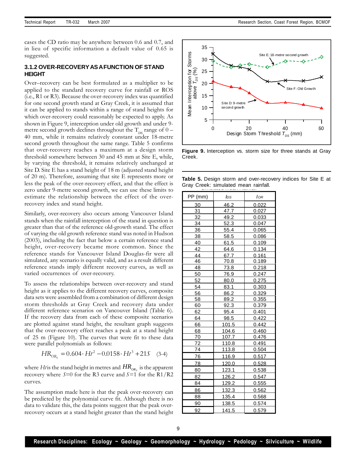cases the CD ratio may be anywhere between 0.6 and 0.7, and in lieu of specific information a default value of 0.65 is suggested.

### **3.1.2 OVER-RECOVERYASAFUNCTION OF STAND HEIGHT**

Over–recovery can be best formulated as a multiplier to be applied to the standard recovery curve for rainfall or ROS (i.e., R1 or R3). Because the over-recovery index was quantified for one second growth stand at Gray Creek, it is assumed that it can be applied to stands within a range of stand heights for which over-recovery could reasonably be expected to apply. As shown in Figure 9, interception under old growth and under 9 metre second growth declines throughout the  $T_{DS}$  range of  $0-$ 40 mm, while it remains relatively constant under 18-metre second growth throughout the same range. Table 5 confirms that over-recovery reaches a maximum at a design storm threshold somewhere between 30 and 45 mm at Site E, while, by varying the threshold, it remains relatively unchanged at Site D. Site E has a stand height of 18 m (adjusted stand height of 20 m). Therefore, assuming that site E represents more or less the peak of the over-recovery effect, and that the effect is zero under 9-metre second growth, we can use these limits to estimate the relationship between the effect of the overrecovery index and stand height.

Similarly, over-recovery also occurs among Vancouver Island stands when the rainfall interception of the stand in question is greater than that of the reference old-growth stand. The effect of varying the old growth reference stand was noted in Hudson (2003), including the fact that below a certain reference stand height, over-recovery became more common. Since the reference stands for Vancouver Island Douglas-fir were all simulated, any scenario is equally valid, and as a result different reference stands imply different recovery curves, as well as varied occurrences of over-recovery.

To assess the relationships between over-recovery and stand height as it applies to the different recovery curves, composite data sets were assembled from a combination of different design storm thresholds at Gray Creek and recovery data under different reference scenarios on Vancouver Island (Table 6). If the recovery data from each of these composite scenarios are plotted against stand height, the resultant graph suggests that the over-recovery effect reaches a peak at a stand height of 25 m (Figure 10). The curves that were fit to these data were parallel polynomials as follows:

$$
HR_{OR_s} = 0.604 \cdot Ht^2 - 0.0158 \cdot Ht^3 + 215 \quad (3-4)
$$

where  $Ht$  is the stand height in metres and  $\mathit{HR}_{\mathit{OR}_s}$  is the apparent recovery where *S*=0 for the R3 curve and *S*=1 for the R1/R2 curves.

The assumption made here is that the peak over-recovery can be predicted by the polynomial curve fit. Although there is no data to validate this, the data points suggest that the peak overrecovery occurs at a stand height greater than the stand height

![](_page_10_Figure_10.jpeg)

**Figure 9.** Interception vs. storm size for three stands at Gray Creek.

**Table 5.** Design storm and over-recovery indices for Site E at Gray Creek: simulated mean rainfall.

| PP (mm)   | lds   | Ior   |
|-----------|-------|-------|
| <u>30</u> | 46.2  | 0.022 |
| 31        | 47.7  | 0.027 |
| 32        | 49.2  | 0.033 |
| 34        | 52.3  | 0.047 |
| 36        | 55.4  | 0.065 |
| 38        | 58.5  | 0.086 |
| 40        | 61.5  | 0.109 |
| 42        | 64.6  | 0.134 |
| 44        | 67.7  | 0.161 |
| 46        | 70.8  | 0.189 |
| 48        | 73.8  | 0.218 |
| 50        | 76.9  | 0.247 |
| 52        | 80.0  | 0.275 |
| 54        | 83.1  | 0.303 |
| 56        | 86.2  | 0.329 |
| 58        | 89.2  | 0.355 |
| 60        | 92.3  | 0.379 |
| 62        | 95.4  | 0.401 |
| 64        | 98.5  | 0.422 |
| 66        | 101.5 | 0.442 |
| 68        | 104.6 | 0.460 |
| 70        | 107.7 | 0.476 |
| 72        | 110.8 | 0.491 |
| 74        | 113.8 | 0.504 |
| 76        | 116.9 | 0.517 |
| 78        | 120.0 | 0.528 |
| 80        | 123.1 | 0.538 |
| 82        | 126.2 | 0.547 |
| 84        | 129.2 | 0.555 |
| 86        | 132.3 | 0.562 |
| 88        | 135.4 | 0.568 |
| 90        | 138.5 | 0.574 |
| 92        | 141.5 | 0.579 |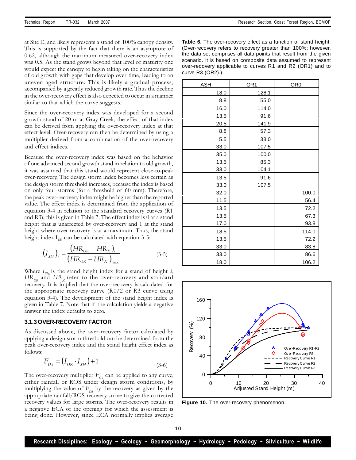at Site E, and likely represents a stand of 100% canopy density. This is supported by the fact that there is an asymptote of 0.62, although the maximum measured over-recovery index was 0.5. As the stand grows beyond that level of maturity one would expect the canopy to begin taking on the characteristics of old growth with gaps that develop over time, leading to an uneven aged structure. This is likely a gradual process, accompanied by a greatly reduced growth rate. Thus the decline in the over-recovery effect is also expected to occur in a manner similar to that which the curve suggests.

Since the over-recovery index was developed for a second growth stand of 20 m at Gray Creek, the effect of that index can be derived from applying the over-recovery index at that effect level. Over-recovery can then be determined by using a multiplier derived from a combination of the over-recovery and effect indices.

Because the over-recovery index was based on the behavior of one advanced second growth stand in relation to old growth, it was assumed that this stand would represent close-to-peak over-recovery, The design storm index becomes less certain as the design storm threshold increases, because the index is based on only four storms (for a threshold of 60 mm). Therefore, the peak over-recovery index might be higher than the reported value. The effect index is determined from the application of equation 3-4 in relation to the standard recovery curves (R1 and R3); this is given in Table 7. The effect index is 0 at a stand height that is unaffected by over-recovery and 1 at the stand height where over-recovery is at a maximum. Thus, the stand height index  $I_{\text{SM}}$  can be calculated with equation 3-5:

$$
(I_{SH})_i = \frac{(HR_{OR} - HR_X)_i}{(HR_{OR} - HR_X)_{max}}
$$
(3-5)

Where  $I_{SHi}$  is the stand height index for a stand of height *i*,  $HR_{OR}$  and  $HR_{X}$  refer to the over-recovery and standard recovery. It is implied that the over-recovery is calculated for the appropriate recovery curve  $(R1/2 \text{ or } R3 \text{ curve using})$ equation 3-4). The development of the stand height index is given in Table 7. Note that if the calculation yields a negative answer the index defaults to zero.

#### **3.1.3 OVER-RECOVERYFACTOR**

As discussed above, the over-recovery factor calculated by applying a design storm threshold can be determined from the peak over-recovery index and the stand height effect index as follows:

$$
F_{DS} = (I_{OR} \cdot I_{SH}) + 1 \tag{3-6}
$$

The over-recovery multiplier  $F_{DS}$  can be applied to any curve, either rainfall or ROS under design storm conditions, by multiplying the value of  $F_{DS}$  by the recovery as given by the appropriate rainfall/ROS recovery curve to give the corrected recovery values for large storms. The over-recovery results in a negative ECA of the opening for which the assessment is being done. However, since ECA normally implies average **Table 6.** The over-recovery effect as a function of stand height. (Over-recovery refers to recovery greater than 100%; however, the data set comprises all data points that result from the given scenario. It is based on composite data assumed to represent over-recovery applicable to curves R1 and R2 (OR1) and to curve R3 (OR2).)

| ASH         | OR <sub>1</sub> | OR <sub>0</sub> |
|-------------|-----------------|-----------------|
| 18.0        | 128.1           |                 |
| 8.8         | 55.0            |                 |
| 16.0        | 114.0           |                 |
| 13.5        | 91.6            |                 |
| 20.5        | 141.9           |                 |
| 8.8         | 57.3            |                 |
| 5.5         | 33.0            |                 |
| 33.0        | 107.5           |                 |
| 35.0        | 100.0           |                 |
| 13.5        | 85.3            |                 |
| 33.0        | 104.1           |                 |
| 13.5        | 91.6            |                 |
| 33.0        | 107.5           |                 |
| 32.0        |                 | 100.0           |
| 11.5        |                 | 56.4            |
| 13.5        |                 | 72.2            |
| <u>13.5</u> |                 | 67.3            |
| 17.0        |                 | 93.8            |
| 18.5        |                 | 114.0           |
| 13.5        |                 | 72.2            |
| 33.0        |                 | 83.8            |
| 33.0        |                 | 86.6            |
| 18.0        |                 | 106.2           |

![](_page_11_Figure_13.jpeg)

**Figure 10.** The over-recovery phenomenon.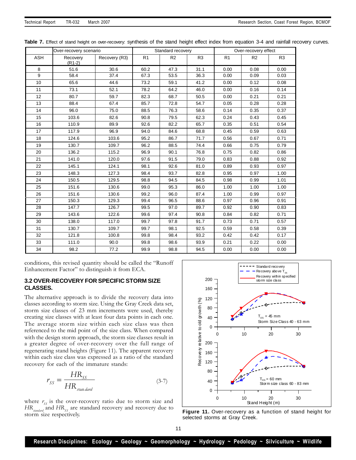|                  | Over-recovery scenario |               | Standard recovery |                | Over-recovery effect |                |                |                |
|------------------|------------------------|---------------|-------------------|----------------|----------------------|----------------|----------------|----------------|
| <b>ASH</b>       | Recovery<br>$(R1-2)$   | Recovery (R3) | R <sub>1</sub>    | R <sub>2</sub> | R <sub>3</sub>       | R <sub>1</sub> | R <sub>2</sub> | R <sub>3</sub> |
| 8                | 51.6                   | 30.6          | 60.2              | 47.3           | 31.1                 | 0.00           | 0.08           | 0.00           |
| $\boldsymbol{9}$ | 58.4                   | 37.4          | 67.3              | 53.5           | 36.3                 | 0.00           | 0.09           | 0.03           |
| 10               | 65.6                   | 44.6          | 73.2              | 59.1           | 41.2                 | 0.00           | 0.12           | 0.08           |
| 11               | 73.1                   | 52.1          | 78.2              | 64.2           | 46.0                 | 0.00           | 0.16           | 0.14           |
| 12               | 80.7                   | 59.7          | 82.3              | 68.7           | 50.5                 | 0.00           | 0.21           | 0.21           |
| 13               | 88.4                   | 67.4          | 85.7              | 72.8           | 54.7                 | 0.05           | 0.28           | 0.28           |
| 14               | 96.0                   | 75.0          | 88.5              | 76.3           | 58.6                 | 0.14           | 0.35           | 0.37           |
| 15               | 103.6                  | 82.6          | 90.8              | 79.5           | 62.3                 | 0.24           | 0.43           | 0.45           |
| 16               | 110.9                  | 89.9          | 92.6              | 82.2           | 65.7                 | 0.35           | 0.51           | 0.54           |
| 17               | 117.9                  | 96.9          | 94.0              | 84.6           | 68.8                 | 0.45           | 0.59           | 0.63           |
| 18               | 124.6                  | 103.6         | 95.2              | 86.7           | 71.7                 | 0.56           | 0.67           | 0.71           |
| 19               | 130.7                  | 109.7         | 96.2              | 88.5           | 74.4                 | 0.66           | 0.75           | 0.79           |
| 20               | 136.2                  | 115.2         | 96.9              | 90.1           | 76.8                 | 0.75           | 0.82           | 0.86           |
| 21               | 141.0                  | 120.0         | 97.6              | 91.5           | 79.0                 | 0.83           | 0.88           | 0.92           |
| 22               | 145.1                  | 124.1         | 98.1              | 92.6           | 81.0                 | 0.89           | 0.93           | 0.97           |
| 23               | 148.3                  | 127.3         | 98.4              | 93.7           | 82.8                 | 0.95           | 0.97           | 1.00           |
| 24               | 150.5                  | 129.5         | 98.8              | 94.5           | 84.5                 | 0.98           | 0.99           | 1.01           |
| 25               | 151.6                  | 130.6         | 99.0              | 95.3           | 86.0                 | 1.00           | 1.00           | 1.00           |
| 26               | 151.6                  | 130.6         | 99.2              | 96.0           | 87.4                 | 1.00           | 0.99           | 0.97           |
| 27               | 150.3                  | 129.3         | 99.4              | 96.5           | 88.6                 | 0.97           | 0.96           | 0.91           |
| 28               | 147.7                  | 126.7         | 99.5              | 97.0           | 89.7                 | 0.92           | 0.90           | 0.83           |
| 29               | 143.6                  | 122.6         | 99.6              | 97.4           | 90.8                 | 0.84           | 0.82           | 0.71           |
| 30               | 138.0                  | 117.0         | 99.7              | 97.8           | 91.7                 | 0.73           | 0.71           | 0.57           |
| 31               | 130.7                  | 109.7         | 99.7              | 98.1           | 92.5                 | 0.59           | 0.58           | 0.39           |
| 32               | 121.8                  | 100.8         | 99.8              | 98.4           | 93.2                 | 0.42           | 0.42           | 0.17           |
| 33               | 111.0                  | 90.0          | 99.8              | 98.6           | 93.9                 | 0.21           | 0.22           | 0.00           |
| 34               | 98.2                   | 77.2          | 99.9              | 98.8           | 94.5                 | 0.00           | 0.00           | 0.00           |

Table 7. Effect of stand height on over-recovery: synthesis of the stand height effect index from equation 3-4 and rainfall recovery curves.

conditions, this revised quantity should be called the "Runoff Enhancement Factor" to distinguish it from ECA.

# **3.2 OVER-RECOVERY FOR SPECIFIC STORM SIZE CLASSES.**

The alternative approach is to divide the recovery data into classes according to storm size. Using the Gray Creek data set, storm size classes of 23 mm increments were used, thereby creating size classes with at least four data points in each one. The average storm size within each size class was then referenced to the mid point of the size class. When compared with the design storm approach, the storm size classes result in a greater degree of over-recovery over the full range of regenerating stand heights (Figure 11). The apparent recovery within each size class was expressed as a ratio of the standard recovery for each of the immature stands:

$$
r_{SS} = \frac{HR_{SS}}{HR_{\text{stan dard}}}
$$
 (3-7)

where  $r_{ss}$  is the over-recovery ratio due to storm size and *HR*<sub>*standard*</sub> and *HR*<sub>*SS*</sub> are standard recovery and recovery due to storm size respectively.

![](_page_12_Figure_9.jpeg)

**Figure 11.** Over-recovery as a function of stand height for selected storms at Gray Creek.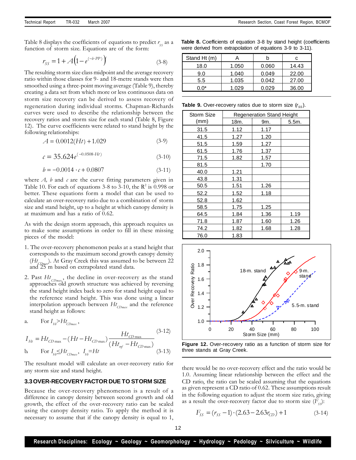Table 8 displays the coefficients of equations to predict  $r_{ss}$  as a function of storm size. Equations are of the form:

$$
r_{SS} = 1 + A \left( 1 - e^{(-b \cdot PP)} \right)
$$
 (3-8)

The resulting storm size class midpoint and the average recovery ratio within those classes for 9- and 18-metre stands were then smoothed using a three-point moving average (Table 9), thereby creating a data set from which more or less continuous data on storm size recovery can be derived to assess recovery of regeneration during individual storms. Chapman-Richards curves were used to describe the relationship between the recovery ratios and storm size for each stand (Table 8, Figure 12). The curve coefficients were related to stand height by the following relationships:

$$
A = 0.0012(Ht) + 1.029
$$
 (3-9)

$$
c = 35.624e^{(-0.0508 \cdot Ht)} \tag{3-10}
$$

$$
b = -0.0014 \cdot c + 0.0807 \tag{3-11}
$$

where *A*, *b* and *c* are the curve fitting parameters given in Table 10. For each of equations 3-8 to 3-10, the  $\mathbb{R}^2$  is 0.998 or better. These equations form a model that can be used to calculate an over-recovery ratio due to a combination of storm size and stand height, up to a height at which canopy density is at maximum and has a ratio of 0.62.

As with the design storm approach, this approach requires us to make some assumptions in order to fill in these missing pieces of the model:

- 1. The over-recovery phenomenon peaks at a stand height that corresponds to the maximum second growth canopy density (*Ht CDmax* ). At Gray Creek this was assumed to be between 22 and 25 m based on extrapolated stand data.
- 2. Past *Ht CDmax* , the decline in over-recovery as the stand approaches old growth structure was achieved by reversing the stand height index back to zero for stand height equal to the reference stand height. This was done using a linear interpolation approach between *Ht CDmax* and the reference stand height as follows:

a. For 
$$
I_{H} > Ht_{CDmax}
$$
,  
\n
$$
I_{H} = Ht_{CD max} - (Ht - Ht_{CD max}) \frac{Ht_{CD max}}{(Ht_{ref} - Ht_{CD max})}
$$
\n(b) For  $I_{H} \leq Ht_{CD max}$ ,  $I_{H} = Ht$  (3-13)

The resultant model will calculate an over-recovery ratio for any storm size and stand height.

#### **3.3OVER-RECOVERYFACTOR DUE TO STORM SIZE**

Because the over-recovery phenomenon is a result of a difference in canopy density between second growth and old growth, the effect of the over-recovery ratio can be scaled using the canopy density ratio. To apply the method it is necessary to assume that if the canopy density is equal to 1,

**Table 8.** Coefficients of equation 3-8 by stand height (coefficients were derived from extrapolation of equations 3-9 to 3-11).

| Stand Ht (m) |       |       | с     |
|--------------|-------|-------|-------|
| 18.0         | 1.050 | 0.060 | 14.43 |
| 9.0          | 1.040 | 0.049 | 22.00 |
| 5.5          | 1.035 | 0.042 | 27.00 |
| በ በ*         | 1.029 | 0.029 | 36.00 |

**Table 9.** Over-recovery ratios due to storm size ( $r_{SS}$ ).

| <b>Storm Size</b> | <b>Regeneration Stand Height</b> |      |       |  |
|-------------------|----------------------------------|------|-------|--|
| (mm)              | 18m.                             | 9m.  | 5.5m. |  |
| 31.5              | 1.12                             | 1.17 |       |  |
| 41.5              | 1.27                             | 1.20 |       |  |
| 51.5              | 1.59                             | 1.27 |       |  |
| 61.5              | 1.76                             | 1.37 |       |  |
| 71.5              | 1.82                             | 1.57 |       |  |
| 81.5              |                                  | 1.70 |       |  |
| 40.0              | 1.21                             |      |       |  |
| 43.8              | 1.31                             |      |       |  |
| 50.5              | 1.51                             | 1.26 |       |  |
| 52.2              | 1.52                             | 1.18 |       |  |
| 52.8              | 1.62                             |      |       |  |
| 58.5              | 1.75                             | 1.25 |       |  |
| 64.5              | 1.84                             | 1.36 | 1.19  |  |
| 71.8              | 1.87                             | 1.60 | 1.26  |  |
| 74.2              | 1.82                             | 1.68 | 1.28  |  |
| 76.0              | 1.83                             |      |       |  |

![](_page_13_Figure_20.jpeg)

![](_page_13_Figure_21.jpeg)

there would be no over-recovery effect and the ratio would be 1.0. Assuming linear relationship between the effect and the CD ratio, the ratio can be scaled assuming that the equations as given represent a CD ratio of 0.62. These assumptions result in the following equation to adjust the storm size ratio, giving as a result the over-recovery factor due to storm size  $(F_{\mathfrak{s}})$ :

$$
F_{SS} = (r_{SS} - 1) \cdot (2.63 - 2.63r_{CD}) + 1 \tag{3-14}
$$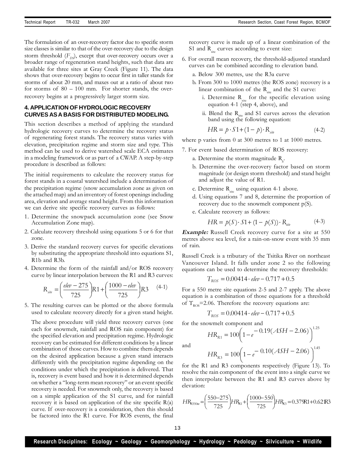The formulation of an over-recovery factor due to specific storm size classes is similar to that of the over-recovery due to the design storm threshold  $(F_p)$ , except that over-recovery occurs over a broader range of regeneration stand heights, such that data are available for three sites at Gray Creek (Figure 11). The data shows that over-recovery begins to occur first in taller stands for storms of about 20 mm, and maxes out at a ratio of about two for storms of  $80 - 100$  mm. For shorter stands, the overrecovery begins at a progressively larger storm size.

# **4. APPLICATION OF HYDROLOGIC RECOVERY CURVES ASA BASIS FOR DISTRIBUTED MODELING.**

This section describes a method of applying the standard hydrologic recovery curves to determine the recovery status of regenerating forest stands. The recovery status varies with elevation, precipitation regime and storm size and type. This method can be used to derive watershed scale ECA estimates in a modeling framework or as part of a CWAP. A step-by-step procedure is described as follows:

The initial requirements to calculate the recovery status for forest stands in a coastal watershed include a determination of the precipitation regime (snow accumulation zone as given on the attached map) and an inventory of forest openings including area, elevation and average stand height. From this information we can derive site specific recovery curves as follows:

- 1. Determine the snowpack accumulation zone (see Snow Accumulation Zone map).
- 2. Calculate recovery threshold using equations 5 or 6 for that zone.
- 3. Derive the standard recovery curves for specific elevations by substituting the appropriate threshold into equations S1, R1b and R3b.
- 4. Determine the form of the rainfall and/or ROS recovery curve by linear interpolation between the R1 and R3 curves:

$$
R_{\textit{site}} = \left(\frac{\textit{elev} - 275}{725}\right) R1 + \left(\frac{1000 - \textit{elev}}{725}\right) R3 \quad (4-1)
$$

5. The resulting curves can be plotted or the above formula used to calculate recovery directly for a given stand height.

The above procedure will yield three recovery curves (one each for snowmelt, rainfall and ROS rain component) for the specified elevation and precipitation regime. Hydrologic recovery can be estimated for different conditions by a linear combination of those curves. How to combine them depends on the desired application because a given stand interacts differently with the precipitation regime depending on the conditions under which the precipitation is delivered. That is, recovery is event based and how it is determined depends on whether a "long-term mean recovery" or an event specific recovery is needed. For snowmelt only, the recovery is based on a simple application of the S1 curve, and for rainfall recovery it is based on application of the site specific  $R(a)$ curve. If over-recovery is a consideration, then this should be factored into the R1 curve. For ROS events, the final

recovery curve is made up of a linear combination of the S1 and  $R_{\text{site}}$  curves according to event size:

- 6. For overall mean recovery, the threshold-adjusted standard curves can be combined according to elevation band.
	- a. Below 300 metres, use the R3a curve
	- b. From 300 to 1000 metres (the ROS zone) recovery is a linear combination of the  $R_{\text{site}}$  and the S1 curve:
		- i. Determine  $R_{\text{site}}$  for the specific elevation using equation 4-1 (step 4, above), and
		- ii. Blend the  $R_{site}$  and S1 curves across the elevation band using the following equation:

$$
HR = p \cdot S1 + (1 - p) \cdot R_{\textit{site}} \tag{4-2}
$$

where p varies from 0 at 300 metres to 1 at 1000 metres.

- 7. For event based determination of ROS recovery:
	- a. Determine the storm magnitude  $R_{s}$ .
	- b. Determine the over-recovery factor based on storm magnitude (or design storm threshold) and stand height and adjust the value of R1.
	- c. Determine  $R_{\text{site}}$  using equation 4-1 above.
	- d. Using equations 7 and 8, determine the proportion of recovery due to the snowmelt component p(S).
	- e. Calculate recovery as follows:

$$
HR = p(S) \cdot S1 + (1 - p(S)) \cdot R_{\text{site}} \tag{4-3}
$$

**Example:** Russell Creek recovery curve for a site at 550 metres above sea level, for a rain-on-snow event with 35 mm of rain.

Russell Creek is a tributary of the Tsitika River on northeast Vancouver Island. It falls under zone 2 so the following equations can be used to determine the recovery thresholds:

$$
T_{\rm ROS} = 0.00414 \cdot \textit{elev} - 0.717 + 0.5
$$

For a 550 metre site equations 2-5 and 2-7 apply. The above equation is a combination of those equations for a threshold of  $T_{ROS}$ =2.06. Therefore the recovery equations are:

$$
T_{\text{ROS}} = 0.00414 \cdot \text{elev} - 0.717 + 0.5
$$

for the snowmelt component and

$$
HR_{R1} = 100 \left(1 - e^{-0.19(ASH - 2.06)}\right)^{1.25}
$$

and

$$
HR_{R3} = 100 \left(1 - e^{-0.10(ASH - 2.06)}\right)^{1.45}
$$

for the R1 and R3 components respectively (Figure 13). To resolve the rain component of the event into a single curve we then interpolate between the R1 and R3 curves above by elevation:

$$
HR_{R550w} = \left(\frac{550 - 275}{725}\right) H R_{R1} + \left(\frac{1000 - 550}{725}\right) H R_{R3} = 0.379R1 + 0.62R3
$$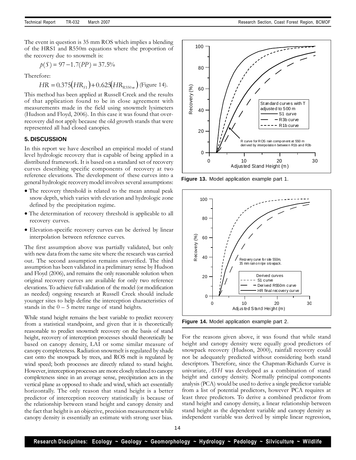The event in question is 35 mm ROS which implies a blending of the HRS1 and R550m equations where the proportion of the recovery due to snowmelt is:

$$
p(S) = 97 - 1.7(PP) = 37.5\%
$$

Therefore:

$$
HR = 0.375\left(HR_{s1}\right) + 0.625\left(HR_{R550\,\text{m}}\right)
$$
 (Figure 14).

This method has been applied at Russell Creek and the results of that application found to be in close agreement with measurements made in the field using snowmelt lysimeters (Hudson and Floyd, 2006). In this case it was found that overrecovery did not apply because the old growth stands that were represented all had closed canopies.

#### **5. DISCUSSION**

In this report we have described an empirical model of stand level hydrologic recovery that is capable of being applied in a distributed framework. It is based on a standard set of recovery curves describing specific components of recovery at two reference elevations. The development of these curves into a general hydrologic recovery model involves several assumptions:

- The recovery threshold is related to the mean annual peak snow depth, which varies with elevation and hydrologic zone defined by the precipitation regime.
- The determination of recovery threshold is applicable to all recovery curves.
- Elevation-specific recovery curves can be derived by linear interpolation between reference curves.

The first assumption above was partially validated, but only with new data from the same site where the research was carried out. The second assumption remains unverified. The third assumption has been validated in a preliminary sense by Hudson and Floyd (2006), and remains the only reasonable solution when original recovery curves are available for only two reference elevations. To achieve full validation of the model (or modification as needed) ongoing research at Russell Creek should include younger sites to help define the interception characteristics of stands in the  $0 - 5$  metre range of stand heights.

While stand height remains the best variable to predict recovery from a statistical standpoint, and given that it is theoretically reasonable to predict snowmelt recovery on the basis of stand height, recovery of interception processes should theoretically be based on canopy density, LAI or some similar measure of canopy completeness. Radiation snowmelt is regulated by shade cast onto the snowpack by trees, and ROS melt is regulated by wind speed; both processes are directly related to stand height. However, interception processes are more closely related to canopy completeness since in an average sense, precipitation acts in the vertical plane as opposed to shade and wind, which act essentially horizontally. The only reason that stand height is a better predictor of interception recovery statistically is because of the relationship between stand height and canopy density and the fact that height is an objective, precision measurement while canopy density is essentially an estimate with strong user bias.

![](_page_15_Figure_14.jpeg)

**Figure 13.** Model application example part 1.

![](_page_15_Figure_16.jpeg)

**Figure 14.** Model application example part 2.

For the reasons given above, it was found that while stand height and canopy density were equally good predictors of snowpack recovery (Hudson, 2000), rainfall recovery could not be adequately predicted without considering both stand descriptors. Therefore, since the Chapman-Richards Curve is univariate, *ASH* was developed as a combination of stand height and canopy density. Normally principal components analysis (PCA) would be used to derive a single predictor variable from a list of potential predictors, however PCA requires at least three predictors. To derive a combined predictor from stand height and canopy density, a linear relationship between stand height as the dependent variable and canopy density as independent variable was derived by simple linear regression,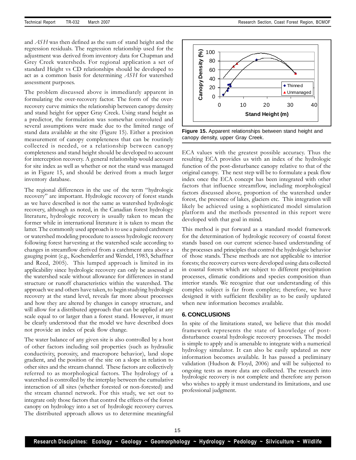and *ASH* was then defined as the sum of stand height and the regression residuals. The regression relationship used for the adjustment was derived from inventory data for Chapman and Grey Creek watersheds. For regional application a set of standard Height vs CD relationships should be developed to act as a common basis for determining *ASH* for watershed assessment purposes.

The problem discussed above is immediately apparent in formulating the over-recovery factor. The form of the overrecovery curve mimics the relationship between canopy density and stand height for upper Gray Creek. Using stand height as a predictor, the formulation was somewhat convoluted and several assumptions were made due to the limited range of stand data available at the site (Figure 15). Either a precision measurement of canopy completeness that can be routinely collected is needed, or a relationship between canopy completeness and stand height should be developed to account for interception recovery. A general relationship would account for site index as well as whether or not the stand was managed as in Figure 15, and should be derived from a much larger inventory database.

The regional differences in the use of the term "hydrologic recovery" are important. Hydrologic recovery of forest stands as we have described is not the same as watershed hydrologic recovery, although as noted, in the Canadian forest hydrology literature, hydrologic recovery is usually taken to mean the former while in international literature it is taken to mean the latter. The commonly used approach is to use a paired catchment or watershed modeling procedure to assess hydrologic recovery following forest harvesting at the watershed scale according to changes in streamflow derived from a catchment area above a gauging point (e.g., Kochenderfer and Wendel, 1983, Schaffner and Reed, 2005). This lumped approach is limited in its applicability since hydrologic recovery can only be assessed at the watershed scale without allowance for differences in stand structure or runoff characteristics within the watershed. The approach we and others have taken, to begin studying hydrologic recovery at the stand level, reveals far more about processes and how they are altered by changes in canopy structure, and will allow for a distributed approach that can be applied at any scale equal to or larger than a forest stand. However, it must be clearly understood that the model we have described does not provide an index of peak flow change.

The water balance of any given site is also controlled by a host of other factors including soil properties (such as hydraulic conductivity, porosity, and macropore behavior), land slope gradient, and the position of the site on a slope in relation to other sites and the stream channel. These factors are collectively referred to as morphological factors. The hydrology of a watershed is controlled by the interplay between the cumulative interaction of all sites (whether forested or non-forested) and the stream channel network. For this study, we set out to integrate only those factors that control the effects of the forest canopy on hydrology into a set of hydrologic recovery curves. The distributed approach allows us to determine meaningful

![](_page_16_Figure_6.jpeg)

**Figure 15.** Apparent relationships between stand height and canopy density, upper Gray Creek.

ECA values with the greatest possible accuracy. Thus the resulting ECA provides us with an index of the hydrologic function of the post-disturbance canopy relative to that of the original canopy. The next step will be to formulate a peak flow index once the ECA concept has been integrated with other factors that influence streamflow, including morphological factors discussed above, proportion of the watershed under forest, the presence of lakes, glaciers etc. This integration will likely be achieved using a sophisticated model simulation platform and the methods presented in this report were developed with that goal in mind.

This method is put forward as a standard model framework for the determination of hydrologic recovery of coastal forest stands based on our current science-based understanding of the processes and principles that control the hydrologic behavior of those stands. These methods are not applicable to interior forests; the recovery curves were developed using data collected in coastal forests which are subject to different precipitation processes, climatic conditions and species composition than interior stands. We recognize that our understanding of this complex subject is far from complete; therefore, we have designed it with sufficient flexibility as to be easily updated when new information becomes available.

#### **6. CONCLUSIONS**

In spite of the limitations stated, we believe that this model framework represents the state of knowledge of postdisturbance coastal hydrologic recovery processes. The model is simple to apply and is amenable to integrate with a numerical hydrology simulator. It can also be easily updated as new information becomes available. It has passed a preliminary validation (Hudson & Floyd, 2006) and will be subjected to ongoing tests as more data are collected. The research into hydrologic recovery is not complete and therefore any person who wishes to apply it must understand its limitations, and use professional judgment.